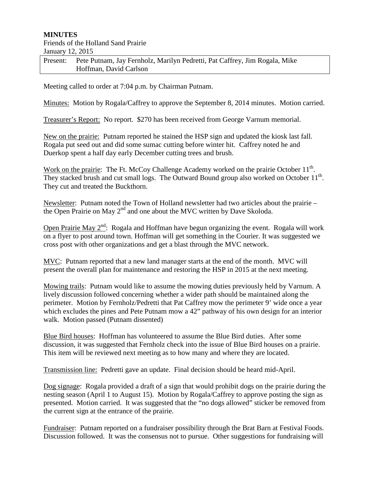## **MINUTES**

## Friends of the Holland Sand Prairie January 12, 2015

| Present: Pete Putnam, Jay Fernholz, Marilyn Pedretti, Pat Caffrey, Jim Rogala, Mike |
|-------------------------------------------------------------------------------------|
| Hoffman, David Carlson                                                              |

Meeting called to order at 7:04 p.m. by Chairman Putnam.

Minutes: Motion by Rogala/Caffrey to approve the September 8, 2014 minutes. Motion carried.

Treasurer's Report: No report. \$270 has been received from George Varnum memorial.

New on the prairie: Putnam reported he stained the HSP sign and updated the kiosk last fall. Rogala put seed out and did some sumac cutting before winter hit. Caffrey noted he and Duerkop spent a half day early December cutting trees and brush.

Work on the prairie: The Ft. McCoy Challenge Academy worked on the prairie October 11<sup>th</sup>. They stacked brush and cut small logs. The Outward Bound group also worked on October  $11<sup>th</sup>$ . They cut and treated the Buckthorn.

Newsletter: Putnam noted the Town of Holland newsletter had two articles about the prairie – the Open Prairie on May  $2<sup>nd</sup>$  and one about the MVC written by Dave Skoloda.

Open Prairie May  $2<sup>nd</sup>$ : Rogala and Hoffman have begun organizing the event. Rogala will work on a flyer to post around town. Hoffman will get something in the Courier. It was suggested we cross post with other organizations and get a blast through the MVC network.

MVC: Putnam reported that a new land manager starts at the end of the month. MVC will present the overall plan for maintenance and restoring the HSP in 2015 at the next meeting.

Mowing trails: Putnam would like to assume the mowing duties previously held by Varnum. A lively discussion followed concerning whether a wider path should be maintained along the perimeter. Motion by Fernholz/Pedretti that Pat Caffrey mow the perimeter 9' wide once a year which excludes the pines and Pete Putnam mow a 42" pathway of his own design for an interior walk. Motion passed (Putnam dissented)

Blue Bird houses: Hoffman has volunteered to assume the Blue Bird duties. After some discussion, it was suggested that Fernholz check into the issue of Blue Bird houses on a prairie. This item will be reviewed next meeting as to how many and where they are located.

Transmission line: Pedretti gave an update. Final decision should be heard mid-April.

Dog signage: Rogala provided a draft of a sign that would prohibit dogs on the prairie during the nesting season (April 1 to August 15). Motion by Rogala/Caffrey to approve posting the sign as presented. Motion carried. It was suggested that the "no dogs allowed" sticker be removed from the current sign at the entrance of the prairie.

Fundraiser: Putnam reported on a fundraiser possibility through the Brat Barn at Festival Foods. Discussion followed. It was the consensus not to pursue. Other suggestions for fundraising will